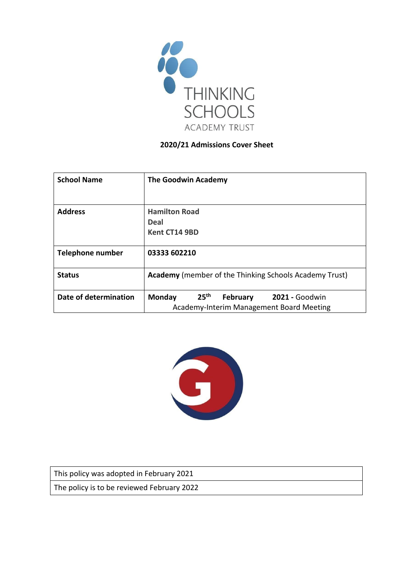

#### **2020/21 Admissions Cover Sheet**

| <b>School Name</b>    | <b>The Goodwin Academy</b>                                                                                                |
|-----------------------|---------------------------------------------------------------------------------------------------------------------------|
| <b>Address</b>        | <b>Hamilton Road</b><br><b>Deal</b><br>Kent CT14 9BD                                                                      |
| Telephone number      | 03333 602210                                                                                                              |
| <b>Status</b>         | <b>Academy</b> (member of the Thinking Schools Academy Trust)                                                             |
| Date of determination | 25 <sup>th</sup><br><b>Monday</b><br><b>2021 - Goodwin</b><br><b>February</b><br>Academy-Interim Management Board Meeting |



This policy was adopted in February 2021

The policy is to be reviewed February 2022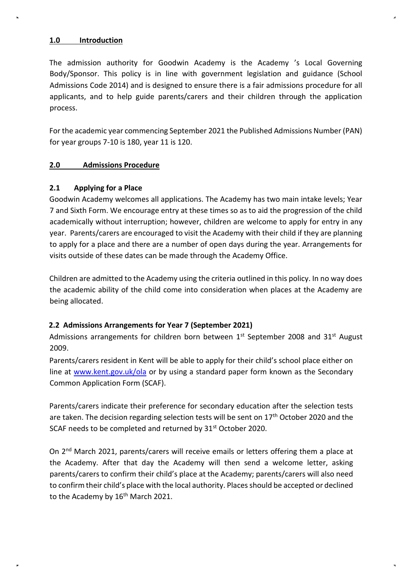#### **1.0 Introduction**

The admission authority for Goodwin Academy is the Academy 's Local Governing Body/Sponsor. This policy is in line with government legislation and guidance (School Admissions Code 2014) and is designed to ensure there is a fair admissions procedure for all applicants, and to help guide parents/carers and their children through the application process.

For the academic year commencing September 2021 the Published Admissions Number (PAN) for year groups 7-10 is 180, year 11 is 120.

### **2.0 Admissions Procedure**

#### **2.1 Applying for a Place**

Goodwin Academy welcomes all applications. The Academy has two main intake levels; Year 7 and Sixth Form. We encourage entry at these times so as to aid the progression of the child academically without interruption; however, children are welcome to apply for entry in any year. Parents/carers are encouraged to visit the Academy with their child if they are planning to apply for a place and there are a number of open days during the year. Arrangements for visits outside of these dates can be made through the Academy Office.

Children are admitted to the Academy using the criteria outlined in this policy. In no way does the academic ability of the child come into consideration when places at the Academy are being allocated.

### **2.2 Admissions Arrangements for Year 7 (September 2021)**

Admissions arrangements for children born between  $1<sup>st</sup>$  September 2008 and 31 $<sup>st</sup>$  August</sup> 2009.

Parents/carers resident in Kent will be able to apply for their child's school place either on line at [www.kent.gov.uk/ola](http://www.kent.gov.uk/ola) [or](http://www.kent.gov.uk/ola) by using a standard paper form known as the Secondary Common Application Form (SCAF).

Parents/carers indicate their preference for secondary education after the selection tests are taken. The decision regarding selection tests will be sent on 17<sup>th</sup> October 2020 and the SCAF needs to be completed and returned by 31<sup>st</sup> October 2020.

On 2nd March 2021, parents/carers will receive emails or letters offering them a place at the Academy. After that day the Academy will then send a welcome letter, asking parents/carers to confirm their child's place at the Academy; parents/carers will also need to confirm their child's place with the local authority. Places should be accepted or declined to the Academy by 16<sup>th</sup> March 2021.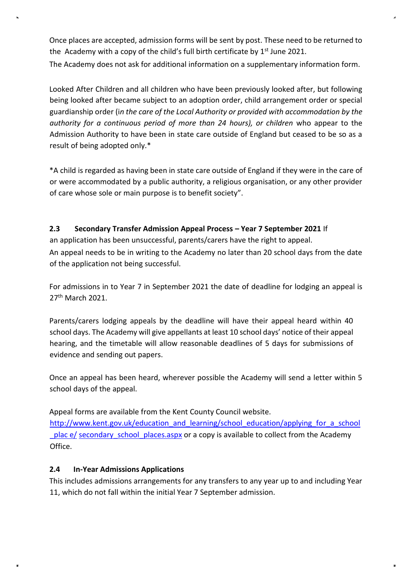Once places are accepted, admission forms will be sent by post. These need to be returned to the Academy with a copy of the child's full birth certificate by  $1<sup>st</sup>$  June 2021.

The Academy does not ask for additional information on a supplementary information form.

Looked After Children and all children who have been previously looked after, but following being looked after became subject to an adoption order, child arrangement order or special guardianship order (i*n the care of the Local Authority or provided with accommodation by the authority for a continuous period of more than 24 hours), or children* who appear to the Admission Authority to have been in state care outside of England but ceased to be so as a result of being adopted only.\*

\*A child is regarded as having been in state care outside of England if they were in the care of or were accommodated by a public authority, a religious organisation, or any other provider of care whose sole or main purpose is to benefit society".

# **2.3 Secondary Transfer Admission Appeal Process – Year 7 September 2021** If

an application has been unsuccessful, parents/carers have the right to appeal.

An appeal needs to be in writing to the Academy no later than 20 school days from the date of the application not being successful.

For admissions in to Year 7 in September 2021 the date of deadline for lodging an appeal is 27<sup>th</sup> March 2021.

Parents/carers lodging appeals by the deadline will have their appeal heard within 40 school days. The Academy will give appellants at least 10 school days' notice of their appeal hearing, and the timetable will allow reasonable deadlines of 5 days for submissions of evidence and sending out papers.

Once an appeal has been heard, wherever possible the Academy will send a letter within 5 school days of the appeal.

Appeal forms are available from the Kent County Council website. [http://www.kent.gov.uk/education\\_and\\_learning/school\\_education/applying\\_for\\_a\\_school](http://www.kent.gov.uk/education_and_learning/school_education/applying_for_a_school_place/secondary_school_places.aspx) plac e/ secondary school places.aspx [or a copy is available to collect from](http://www.kent.gov.uk/education_and_learning/school_education/applying_for_a_school_place/secondary_school_places.aspx) the Academy Office.

### **2.4 In-Year Admissions Applications**

This includes admissions arrangements for any transfers to any year up to and including Year 11, which do not fall within the initial Year 7 September admission.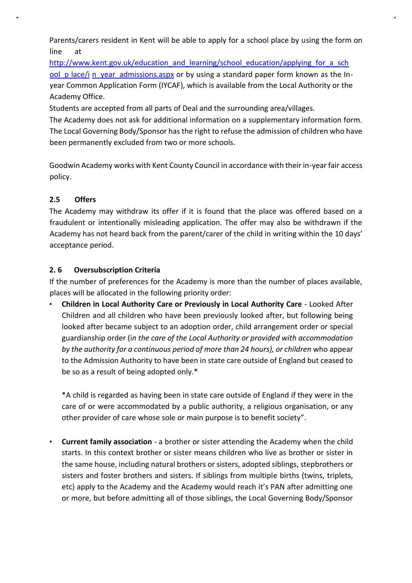Parents/carers resident in Kent will be able to apply for a school place by using the form on line at

[http://www.kent.gov.uk/education\\_and\\_learning/school\\_education/applying\\_for\\_a\\_sch](http://www.kent.gov.uk/education_and_learning/school_education/applying_for_a_school_place/in_year_admissions.aspx) ool p lace/i n year admissions.aspx [or by using a standard paper form known as the In](http://www.kent.gov.uk/education_and_learning/school_education/applying_for_a_school_place/in_year_admissions.aspx)year Common Application Form (IYCAF), which is available from the Local Authority or the Academy Office.

Students are accepted from all parts of Deal and the surrounding area/villages.

The Academy does not ask for additional information on a supplementary information form. The Local Governing Body/Sponsor has the right to refuse the admission of children who have been permanently excluded from two or more schools.

Goodwin Academy works with Kent County Council in accordance with their in-year fair access policy.

# **2.5 Offers**

The Academy may withdraw its offer if it is found that the place was offered based on a fraudulent or intentionally misleading application. The offer may also be withdrawn if the Academy has not heard back from the parent/carer of the child in writing within the 10 days' acceptance period.

# **2. 6 Oversubscription Criteria**

If the number of preferences for the Academy is more than the number of places available, places will be allocated in the following priority order:

• **Children in Local Authority Care or Previously in Local Authority Care** - Looked After Children and all children who have been previously looked after, but following being looked after became subject to an adoption order, child arrangement order or special guardianship order (i*n the care of the Local Authority or provided with accommodation by the authority for a continuous period of more than 24 hours), or children* who appear to the Admission Authority to have been in state care outside of England but ceased to be so as a result of being adopted only.\*

\*A child is regarded as having been in state care outside of England if they were in the care of or were accommodated by a public authority, a religious organisation, or any other provider of care whose sole or main purpose is to benefit society".

• **Current family association** - a brother or sister attending the Academy when the child starts. In this context brother or sister means children who live as brother or sister in the same house, including natural brothers or sisters, adopted siblings, stepbrothers or sisters and foster brothers and sisters. If siblings from multiple births (twins, triplets, etc) apply to the Academy and the Academy would reach it's PAN after admitting one or more, but before admitting all of those siblings, the Local Governing Body/Sponsor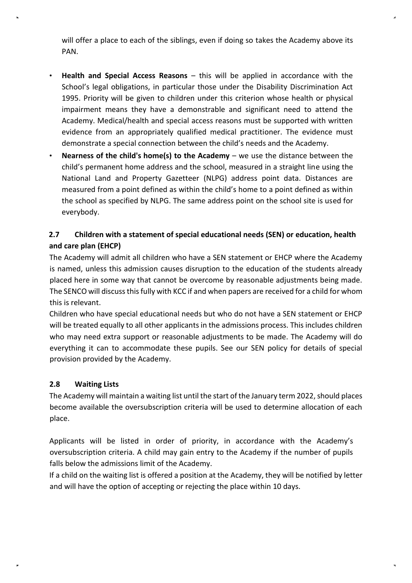will offer a place to each of the siblings, even if doing so takes the Academy above its PAN.

- **Health and Special Access Reasons** this will be applied in accordance with the School's legal obligations, in particular those under the Disability Discrimination Act 1995. Priority will be given to children under this criterion whose health or physical impairment means they have a demonstrable and significant need to attend the Academy. Medical/health and special access reasons must be supported with written evidence from an appropriately qualified medical practitioner. The evidence must demonstrate a special connection between the child's needs and the Academy.
- **Nearness of the child's home(s) to the Academy**  we use the distance between the child's permanent home address and the school, measured in a straight line using the National Land and Property Gazetteer (NLPG) address point data. Distances are measured from a point defined as within the child's home to a point defined as within the school as specified by NLPG. The same address point on the school site is used for everybody.

# **2.7 Children with a statement of special educational needs (SEN) or education, health and care plan (EHCP)**

The Academy will admit all children who have a SEN statement or EHCP where the Academy is named, unless this admission causes disruption to the education of the students already placed here in some way that cannot be overcome by reasonable adjustments being made. The SENCO will discuss this fully with KCC if and when papers are received for a child for whom this is relevant.

Children who have special educational needs but who do not have a SEN statement or EHCP will be treated equally to all other applicants in the admissions process. This includes children who may need extra support or reasonable adjustments to be made. The Academy will do everything it can to accommodate these pupils. See our SEN policy for details of special provision provided by the Academy.

# **2.8 Waiting Lists**

The Academy will maintain a waiting list until the start of the January term 2022, should places become available the oversubscription criteria will be used to determine allocation of each place.

Applicants will be listed in order of priority, in accordance with the Academy's oversubscription criteria. A child may gain entry to the Academy if the number of pupils falls below the admissions limit of the Academy.

If a child on the waiting list is offered a position at the Academy, they will be notified by letter and will have the option of accepting or rejecting the place within 10 days.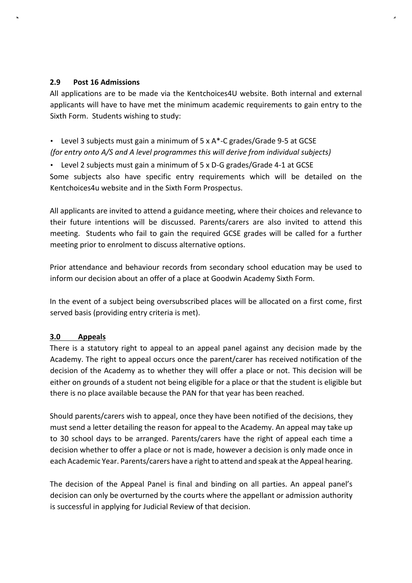#### **2.9 Post 16 Admissions**

All applications are to be made via the Kentchoices4U website. Both internal and external applicants will have to have met the minimum academic requirements to gain entry to the Sixth Form. Students wishing to study:

# • Level 3 subjects must gain a minimum of 5 x A\*-C grades/Grade 9-5 at GCSE *(for entry onto A/S and A level programmes this will derive from individual subjects)*

• Level 2 subjects must gain a minimum of 5 x D-G grades/Grade 4-1 at GCSE

Some subjects also have specific entry requirements which will be detailed on the Kentchoices4u website and in the Sixth Form Prospectus.

All applicants are invited to attend a guidance meeting, where their choices and relevance to their future intentions will be discussed. Parents/carers are also invited to attend this meeting. Students who fail to gain the required GCSE grades will be called for a further meeting prior to enrolment to discuss alternative options.

Prior attendance and behaviour records from secondary school education may be used to inform our decision about an offer of a place at Goodwin Academy Sixth Form.

In the event of a subject being oversubscribed places will be allocated on a first come, first served basis (providing entry criteria is met).

### **3.0 Appeals**

There is a statutory right to appeal to an appeal panel against any decision made by the Academy. The right to appeal occurs once the parent/carer has received notification of the decision of the Academy as to whether they will offer a place or not. This decision will be either on grounds of a student not being eligible for a place or that the student is eligible but there is no place available because the PAN for that year has been reached.

Should parents/carers wish to appeal, once they have been notified of the decisions, they must send a letter detailing the reason for appeal to the Academy. An appeal may take up to 30 school days to be arranged. Parents/carers have the right of appeal each time a decision whether to offer a place or not is made, however a decision is only made once in each Academic Year. Parents/carers have a right to attend and speak at the Appeal hearing.

The decision of the Appeal Panel is final and binding on all parties. An appeal panel's decision can only be overturned by the courts where the appellant or admission authority is successful in applying for Judicial Review of that decision.